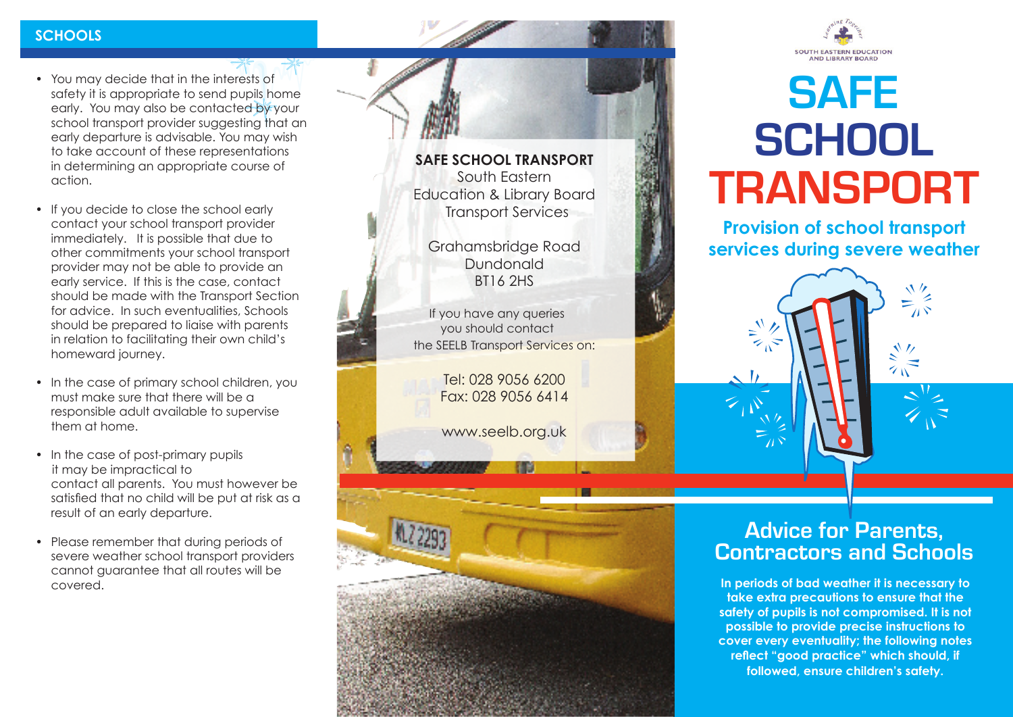# **SCHOOLS**

- You may decide that in the interests of safety it is appropriate to send pupils home early. You may also be contacted by your school transport provider suggesting that an early departure is advisable. You may wish to take account of these representations in determining an appropriate course of action.
- If you decide to close the school early contact your school transport provider immediately. It is possible that due to other commitments your school transport provider may not be able to provide an early service. If this is the case, contact should be made with the Transport Section for advice. In such eventualities, Schools should be prepared to liaise with parents in relation to facilitating their own child's homeward journey.
- In the case of primary school children, you must make sure that there will be a responsible adult available to supervise them at home.
- In the case of post-primary pupils it may be impractical to contact all parents. You must however be satisfied that no child will be put at risk as a result of an early departure.
- Please remember that during periods of severe weather school transport providers cannot guarantee that all routes will be covered.





# **SAFE TRANSPORT SCHOOL**

**Provision of school transport services during severe weather**



# **Advice for Parents, Contractors and Schools**

**In periods of bad weather it is necessary to take extra precautions to ensure that the safety of pupils is not compromised. It is not possible to provide precise instructions to cover every eventuality; the following notes reflect "good practice" which should, if followed, ensure children's safety.**